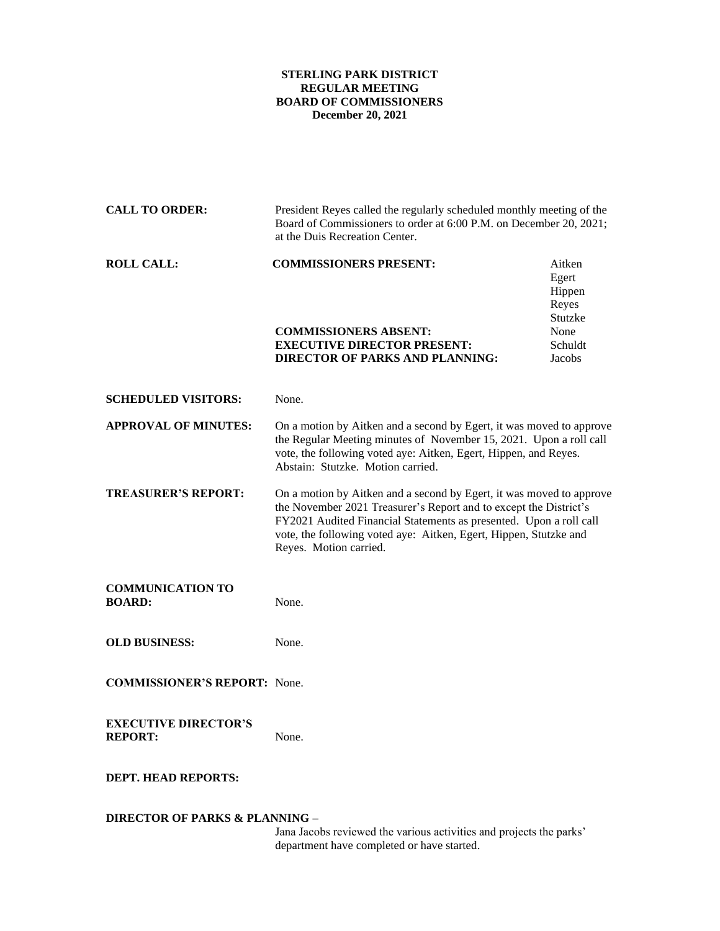## **STERLING PARK DISTRICT REGULAR MEETING BOARD OF COMMISSIONERS December 20, 2021**

| <b>CALL TO ORDER:</b>                                                                                            | President Reyes called the regularly scheduled monthly meeting of the<br>Board of Commissioners to order at 6:00 P.M. on December 20, 2021;<br>at the Duis Recreation Center.                                                                                                                                  |                                                                            |
|------------------------------------------------------------------------------------------------------------------|----------------------------------------------------------------------------------------------------------------------------------------------------------------------------------------------------------------------------------------------------------------------------------------------------------------|----------------------------------------------------------------------------|
| <b>ROLL CALL:</b>                                                                                                | <b>COMMISSIONERS PRESENT:</b><br><b>COMMISSIONERS ABSENT:</b><br><b>EXECUTIVE DIRECTOR PRESENT:</b><br><b>DIRECTOR OF PARKS AND PLANNING:</b>                                                                                                                                                                  | Aitken<br>Egert<br>Hippen<br>Reyes<br>Stutzke<br>None<br>Schuldt<br>Jacobs |
| <b>SCHEDULED VISITORS:</b>                                                                                       | None.                                                                                                                                                                                                                                                                                                          |                                                                            |
| <b>APPROVAL OF MINUTES:</b>                                                                                      | On a motion by Aitken and a second by Egert, it was moved to approve<br>the Regular Meeting minutes of November 15, 2021. Upon a roll call<br>vote, the following voted aye: Aitken, Egert, Hippen, and Reyes.<br>Abstain: Stutzke. Motion carried.                                                            |                                                                            |
| <b>TREASURER'S REPORT:</b>                                                                                       | On a motion by Aitken and a second by Egert, it was moved to approve<br>the November 2021 Treasurer's Report and to except the District's<br>FY2021 Audited Financial Statements as presented. Upon a roll call<br>vote, the following voted aye: Aitken, Egert, Hippen, Stutzke and<br>Reyes. Motion carried. |                                                                            |
| <b>COMMUNICATION TO</b><br><b>BOARD:</b>                                                                         | None.                                                                                                                                                                                                                                                                                                          |                                                                            |
| <b>OLD BUSINESS:</b>                                                                                             | None.                                                                                                                                                                                                                                                                                                          |                                                                            |
| <b>COMMISSIONER'S REPORT:</b> None.                                                                              |                                                                                                                                                                                                                                                                                                                |                                                                            |
| <b>EXECUTIVE DIRECTOR'S</b><br><b>REPORT:</b>                                                                    | None.                                                                                                                                                                                                                                                                                                          |                                                                            |
| <b>DEPT. HEAD REPORTS:</b>                                                                                       |                                                                                                                                                                                                                                                                                                                |                                                                            |
| <b>DIRECTOR OF PARKS &amp; PLANNING -</b><br>Jana Jacobs reviewed the various activities and projects the parks' |                                                                                                                                                                                                                                                                                                                |                                                                            |

department have completed or have started.